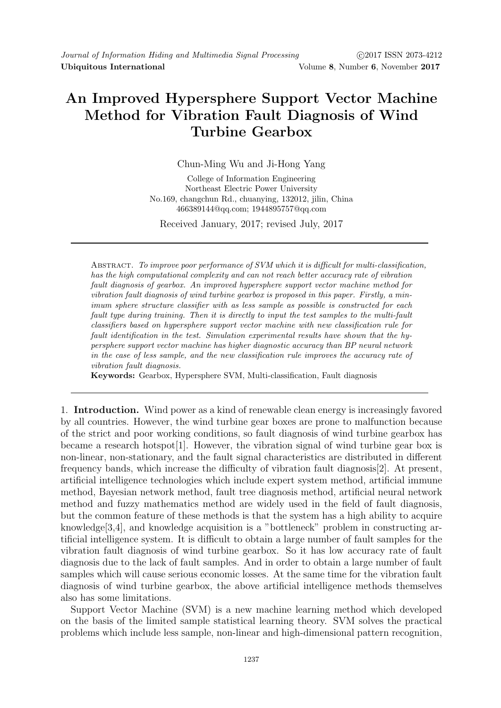## An Improved Hypersphere Support Vector Machine Method for Vibration Fault Diagnosis of Wind Turbine Gearbox

Chun-Ming Wu and Ji-Hong Yang

College of Information Engineering Northeast Electric Power University No.169, changchun Rd., chuanying, 132012, jilin, China 466389144@qq.com; 1944895757@qq.com

Received January, 2017; revised July, 2017

ABSTRACT. To improve poor performance of SVM which it is difficult for multi-classification, has the high computational complexity and can not reach better accuracy rate of vibration fault diagnosis of gearbox. An improved hypersphere support vector machine method for vibration fault diagnosis of wind turbine gearbox is proposed in this paper. Firstly, a minimum sphere structure classifier with as less sample as possible is constructed for each fault type during training. Then it is directly to input the test samples to the multi-fault classifiers based on hypersphere support vector machine with new classification rule for fault identification in the test. Simulation experimental results have shown that the hypersphere support vector machine has higher diagnostic accuracy than BP neural network in the case of less sample, and the new classification rule improves the accuracy rate of vibration fault diagnosis.

Keywords: Gearbox, Hypersphere SVM, Multi-classification, Fault diagnosis

1. Introduction. Wind power as a kind of renewable clean energy is increasingly favored by all countries. However, the wind turbine gear boxes are prone to malfunction because of the strict and poor working conditions, so fault diagnosis of wind turbine gearbox has became a research hotspot[1]. However, the vibration signal of wind turbine gear box is non-linear, non-stationary, and the fault signal characteristics are distributed in different frequency bands, which increase the difficulty of vibration fault diagnosis[2]. At present, artificial intelligence technologies which include expert system method, artificial immune method, Bayesian network method, fault tree diagnosis method, artificial neural network method and fuzzy mathematics method are widely used in the field of fault diagnosis, but the common feature of these methods is that the system has a high ability to acquire knowledge[3,4], and knowledge acquisition is a "bottleneck" problem in constructing artificial intelligence system. It is difficult to obtain a large number of fault samples for the vibration fault diagnosis of wind turbine gearbox. So it has low accuracy rate of fault diagnosis due to the lack of fault samples. And in order to obtain a large number of fault samples which will cause serious economic losses. At the same time for the vibration fault diagnosis of wind turbine gearbox, the above artificial intelligence methods themselves also has some limitations.

Support Vector Machine (SVM) is a new machine learning method which developed on the basis of the limited sample statistical learning theory. SVM solves the practical problems which include less sample, non-linear and high-dimensional pattern recognition,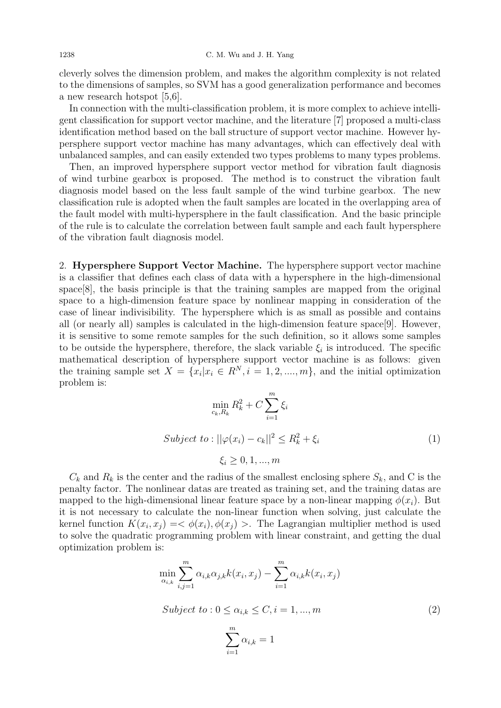cleverly solves the dimension problem, and makes the algorithm complexity is not related to the dimensions of samples, so SVM has a good generalization performance and becomes a new research hotspot [5,6].

In connection with the multi-classification problem, it is more complex to achieve intelligent classification for support vector machine, and the literature [7] proposed a multi-class identification method based on the ball structure of support vector machine. However hypersphere support vector machine has many advantages, which can effectively deal with unbalanced samples, and can easily extended two types problems to many types problems.

Then, an improved hypersphere support vector method for vibration fault diagnosis of wind turbine gearbox is proposed. The method is to construct the vibration fault diagnosis model based on the less fault sample of the wind turbine gearbox. The new classification rule is adopted when the fault samples are located in the overlapping area of the fault model with multi-hypersphere in the fault classification. And the basic principle of the rule is to calculate the correlation between fault sample and each fault hypersphere of the vibration fault diagnosis model.

2. Hypersphere Support Vector Machine. The hypersphere support vector machine is a classifier that defines each class of data with a hypersphere in the high-dimensional space[8], the basis principle is that the training samples are mapped from the original space to a high-dimension feature space by nonlinear mapping in consideration of the case of linear indivisibility. The hypersphere which is as small as possible and contains all (or nearly all) samples is calculated in the high-dimension feature space[9]. However, it is sensitive to some remote samples for the such definition, so it allows some samples to be outside the hypersphere, therefore, the slack variable  $\xi_i$  is introduced. The specific mathematical description of hypersphere support vector machine is as follows: given the training sample set  $X = \{x_i | x_i \in \mathbb{R}^N, i = 1, 2, ..., m\}$ , and the initial optimization problem is:  $\overline{m}$ 

$$
\min_{c_k, R_k} R_k^2 + C \sum_{i=1}^m \xi_i
$$
  
Subject to: 
$$
||\varphi(x_i) - c_k||^2 \le R_k^2 + \xi_i
$$

$$
\xi_i \ge 0, 1, ..., m
$$
 (1)

 $C_k$  and  $R_k$  is the center and the radius of the smallest enclosing sphere  $S_k$ , and C is the penalty factor. The nonlinear datas are treated as training set, and the training datas are mapped to the high-dimensional linear feature space by a non-linear mapping  $\phi(x_i)$ . But it is not necessary to calculate the non-linear function when solving, just calculate the kernel function  $K(x_i, x_j) = \langle \phi(x_i), \phi(x_j) \rangle$ . The Lagrangian multiplier method is used to solve the quadratic programming problem with linear constraint, and getting the dual optimization problem is:

$$
\min_{\alpha_{i,k}} \sum_{i,j=1}^{m} \alpha_{i,k} \alpha_{j,k} k(x_i, x_j) - \sum_{i=1}^{m} \alpha_{i,k} k(x_i, x_j)
$$
  
Subject to:  $0 \leq \alpha_{i,k} \leq C, i = 1, ..., m$  (2)

$$
\sum_{i=1}^m \alpha_{i,k} = 1
$$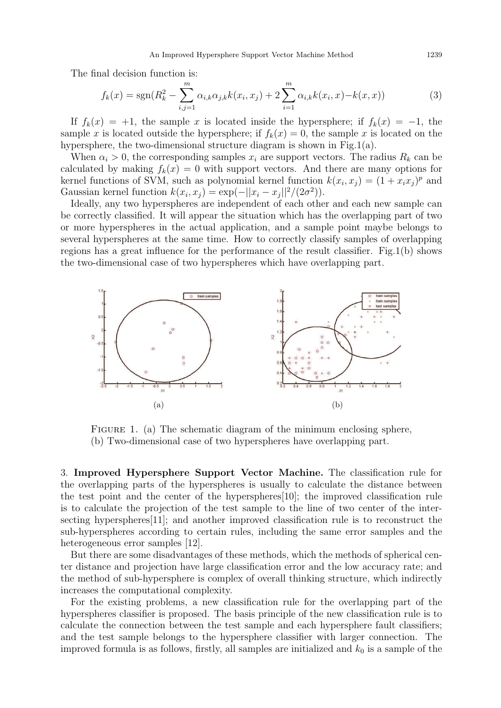An Improved Hypersphere Support Vector Machine Method 1239

The final decision function is:

$$
f_k(x) = \text{sgn}(R_k^2 - \sum_{i,j=1}^m \alpha_{i,k}\alpha_{j,k}k(x_i, x_j) + 2\sum_{i=1}^m \alpha_{i,k}k(x_i, x) - k(x, x))
$$
(3)

If  $f_k(x) = +1$ , the sample x is located inside the hypersphere; if  $f_k(x) = -1$ , the sample x is located outside the hypersphere; if  $f_k(x) = 0$ , the sample x is located on the hypersphere, the two-dimensional structure diagram is shown in Fig.1(a).

When  $\alpha_i > 0$ , the corresponding samples  $x_i$  are support vectors. The radius  $R_k$  can be calculated by making  $f_k(x) = 0$  with support vectors. And there are many options for kernel functions of SVM, such as polynomial kernel function  $k(x_i, x_j) = (1 + x_i x_j)^p$  and Gaussian kernel function  $k(x_i, x_j) = \exp(-||x_i - x_j||^2/(2\sigma^2)).$ 

Ideally, any two hyperspheres are independent of each other and each new sample can be correctly classified. It will appear the situation which has the overlapping part of two or more hyperspheres in the actual application, and a sample point maybe belongs to several hyperspheres at the same time. How to correctly classify samples of overlapping regions has a great influence for the performance of the result classifier. Fig.1(b) shows the two-dimensional case of two hyperspheres which have overlapping part.



FIGURE 1. (a) The schematic diagram of the minimum enclosing sphere, (b) Two-dimensional case of two hyperspheres have overlapping part.

3. Improved Hypersphere Support Vector Machine. The classification rule for the overlapping parts of the hyperspheres is usually to calculate the distance between the test point and the center of the hyperspheres[10]; the improved classification rule is to calculate the projection of the test sample to the line of two center of the intersecting hyperspheres[11]; and another improved classification rule is to reconstruct the sub-hyperspheres according to certain rules, including the same error samples and the heterogeneous error samples [12].

But there are some disadvantages of these methods, which the methods of spherical center distance and projection have large classification error and the low accuracy rate; and the method of sub-hypersphere is complex of overall thinking structure, which indirectly increases the computational complexity.

For the existing problems, a new classification rule for the overlapping part of the hyperspheres classifier is proposed. The basis principle of the new classification rule is to calculate the connection between the test sample and each hypersphere fault classifiers; and the test sample belongs to the hypersphere classifier with larger connection. The improved formula is as follows, firstly, all samples are initialized and  $k_0$  is a sample of the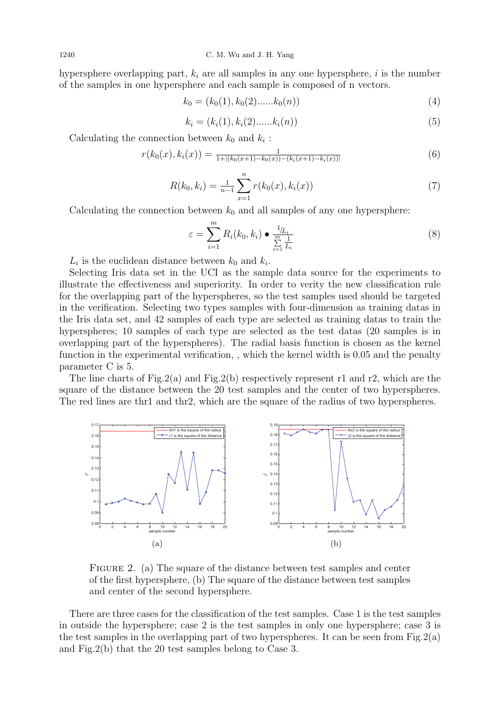hypersphere overlapping part,  $k_i$  are all samples in any one hypersphere, i is the number of the samples in one hypersphere and each sample is composed of n vectors.

$$
k_0 = (k_0(1), k_0(2), \dots, k_0(n))
$$
\n<sup>(4)</sup>

$$
k_i = (k_i(1), k_i(2)......k_i(n))
$$
\n(5)

Calculating the connection between  $k_0$  and  $k_i$ :

$$
r(k_0(x), k_i(x)) = \frac{1}{1 + |(k_0(x+1) - k_0(x)) - (k_i(x+1) - k_i(x))|}
$$
(6)

$$
R(k_0, k_i) = \frac{1}{n-1} \sum_{x=1}^{n} r(k_0(x), k_i(x))
$$
\n(7)

Calculating the connection between  $k_0$  and all samples of any one hypersphere:

$$
\varepsilon = \sum_{i=1}^{m} R_i(k_0, k_i) \bullet \frac{1_{/L_i}}{\sum_{i=1}^{m} \frac{1}{L_i}}
$$
\n(8)

 $L_i$  is the euclidean distance between  $k_0$  and  $k_i$ .

Selecting Iris data set in the UCI as the sample data source for the experiments to illustrate the effectiveness and superiority. In order to verity the new classification rule for the overlapping part of the hyperspheres, so the test samples used should be targeted in the verification. Selecting two types samples with four-dimension as training datas in the Iris data set, and 42 samples of each type are selected as training datas to train the hyperspheres; 10 samples of each type are selected as the test datas (20 samples is in overlapping part of the hyperspheres). The radial basis function is chosen as the kernel function in the experimental verification, , which the kernel width is 0.05 and the penalty parameter C is 5.

The line charts of Fig.2(a) and Fig.2(b) respectively represent r1 and r2, which are the square of the distance between the 20 test samples and the center of two hyperspheres. The red lines are thr1 and thr2, which are the square of the radius of two hyperspheres.



FIGURE 2. (a) The square of the distance between test samples and center of the first hypersphere, (b) The square of the distance between test samples and center of the second hypersphere.

There are three cases for the classification of the test samples. Case 1 is the test samples in outside the hypersphere; case 2 is the test samples in only one hypersphere; case 3 is the test samples in the overlapping part of two hyperspheres. It can be seen from Fig.2(a) and Fig.2(b) that the 20 test samples belong to Case 3.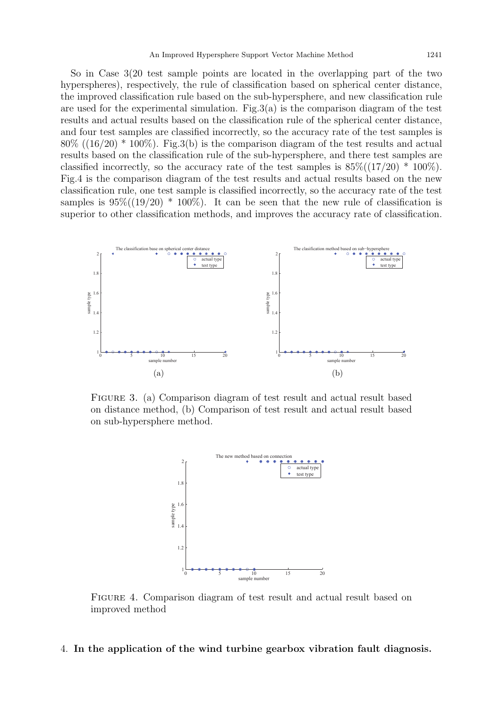So in Case 3(20 test sample points are located in the overlapping part of the two hyperspheres), respectively, the rule of classification based on spherical center distance, the improved classification rule based on the sub-hypersphere, and new classification rule are used for the experimental simulation. Fig.3(a) is the comparison diagram of the test results and actual results based on the classification rule of the spherical center distance, and four test samples are classified incorrectly, so the accuracy rate of the test samples is  $80\%$  ((16/20) \* 100%). Fig.3(b) is the comparison diagram of the test results and actual results based on the classification rule of the sub-hypersphere, and there test samples are classified incorrectly, so the accuracy rate of the test samples is  $85\%((17/20) * 100\%)$ . Fig.4 is the comparison diagram of the test results and actual results based on the new classification rule, one test sample is classified incorrectly, so the accuracy rate of the test samples is  $95\%((19/20) * 100\%)$ . It can be seen that the new rule of classification is superior to other classification methods, and improves the accuracy rate of classification.



Figure 3. (a) Comparison diagram of test result and actual result based on distance method, (b) Comparison of test result and actual result based on sub-hypersphere method.



Figure 4. Comparison diagram of test result and actual result based on improved method

## 4. In the application of the wind turbine gearbox vibration fault diagnosis.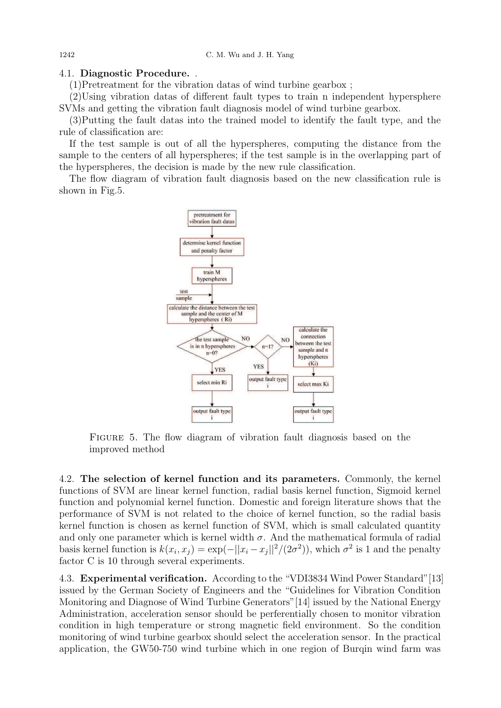## 4.1. Diagnostic Procedure. .

(1)Pretreatment for the vibration datas of wind turbine gearbox ;

(2)Using vibration datas of different fault types to train n independent hypersphere SVMs and getting the vibration fault diagnosis model of wind turbine gearbox.

(3)Putting the fault datas into the trained model to identify the fault type, and the rule of classification are:

If the test sample is out of all the hyperspheres, computing the distance from the sample to the centers of all hyperspheres; if the test sample is in the overlapping part of the hyperspheres, the decision is made by the new rule classification.

The flow diagram of vibration fault diagnosis based on the new classification rule is shown in Fig.5.



Figure 5. The flow diagram of vibration fault diagnosis based on the improved method

4.2. The selection of kernel function and its parameters. Commonly, the kernel functions of SVM are linear kernel function, radial basis kernel function, Sigmoid kernel function and polynomial kernel function. Domestic and foreign literature shows that the performance of SVM is not related to the choice of kernel function, so the radial basis kernel function is chosen as kernel function of SVM, which is small calculated quantity and only one parameter which is kernel width  $\sigma$ . And the mathematical formula of radial basis kernel function is  $k(x_i, x_j) = \exp(-||x_i - x_j||^2/(2\sigma^2))$ , which  $\sigma^2$  is 1 and the penalty factor C is 10 through several experiments.

4.3. Experimental verification. According to the "VDI3834 Wind Power Standard"[13] issued by the German Society of Engineers and the "Guidelines for Vibration Condition Monitoring and Diagnose of Wind Turbine Generators"[14] issued by the National Energy Administration, acceleration sensor should be perferentially chosen to monitor vibration condition in high temperature or strong magnetic field environment. So the condition monitoring of wind turbine gearbox should select the acceleration sensor. In the practical application, the GW50-750 wind turbine which in one region of Burqin wind farm was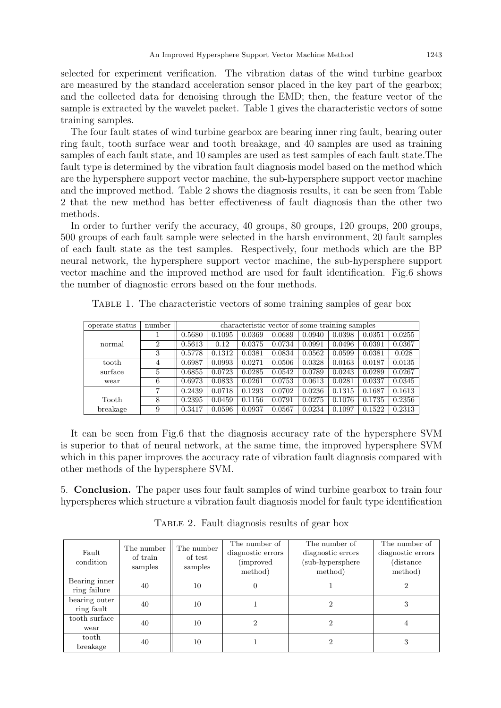selected for experiment verification. The vibration datas of the wind turbine gearbox are measured by the standard acceleration sensor placed in the key part of the gearbox; and the collected data for denoising through the EMD; then, the feature vector of the sample is extracted by the wavelet packet. Table 1 gives the characteristic vectors of some training samples.

The four fault states of wind turbine gearbox are bearing inner ring fault, bearing outer ring fault, tooth surface wear and tooth breakage, and 40 samples are used as training samples of each fault state, and 10 samples are used as test samples of each fault state.The fault type is determined by the vibration fault diagnosis model based on the method which are the hypersphere support vector machine, the sub-hypersphere support vector machine and the improved method. Table 2 shows the diagnosis results, it can be seen from Table 2 that the new method has better effectiveness of fault diagnosis than the other two methods.

In order to further verify the accuracy, 40 groups, 80 groups, 120 groups, 200 groups, 500 groups of each fault sample were selected in the harsh environment, 20 fault samples of each fault state as the test samples. Respectively, four methods which are the BP neural network, the hypersphere support vector machine, the sub-hypersphere support vector machine and the improved method are used for fault identification. Fig.6 shows the number of diagnostic errors based on the four methods.

| operate status | number | characteristic vector of some training samples |        |        |        |        |        |        |        |  |
|----------------|--------|------------------------------------------------|--------|--------|--------|--------|--------|--------|--------|--|
|                |        | 0.5680                                         | 0.1095 | 0.0369 | 0.0689 | 0.0940 | 0.0398 | 0.0351 | 0.0255 |  |
| normal         | 2      | 0.5613                                         | 0.12   | 0.0375 | 0.0734 | 0.0991 | 0.0496 | 0.0391 | 0.0367 |  |
|                | 3      | 0.5778                                         | 0.1312 | 0.0381 | 0.0834 | 0.0562 | 0.0599 | 0.0381 | 0.028  |  |
| tooth          | 4      | 0.6987                                         | 0.0993 | 0.0271 | 0.0506 | 0.0328 | 0.0163 | 0.0187 | 0.0135 |  |
| surface        | 5      | 0.6855                                         | 0.0723 | 0.0285 | 0.0542 | 0.0789 | 0.0243 | 0.0289 | 0.0267 |  |
| wear           | 6      | 0.6973                                         | 0.0833 | 0.0261 | 0.0753 | 0.0613 | 0.0281 | 0.0337 | 0.0345 |  |
|                | 7      | 0.2439                                         | 0.0718 | 0.1293 | 0.0702 | 0.0236 | 0.1315 | 0.1687 | 0.1613 |  |
| Tooth          | 8      | 0.2395                                         | 0.0459 | 0.1156 | 0.0791 | 0.0275 | 0.1076 | 0.1735 | 0.2356 |  |
| breakage       | 9      | 0.3417                                         | 0.0596 | 0.0937 | 0.0567 | 0.0234 | 0.1097 | 0.1522 | 0.2313 |  |

Table 1. The characteristic vectors of some training samples of gear box

It can be seen from Fig.6 that the diagnosis accuracy rate of the hypersphere SVM is superior to that of neural network, at the same time, the improved hypersphere SVM which in this paper improves the accuracy rate of vibration fault diagnosis compared with other methods of the hypersphere SVM.

5. Conclusion. The paper uses four fault samples of wind turbine gearbox to train four hyperspheres which structure a vibration fault diagnosis model for fault type identification

| Fault<br>condition | The number          | The number         | The number of     | The number of     | The number of     |  |
|--------------------|---------------------|--------------------|-------------------|-------------------|-------------------|--|
|                    | of train<br>samples | of test<br>samples | diagnostic errors | diagnostic errors | diagnostic errors |  |
|                    |                     |                    | (improved)        | (sub-hypersphere  | (distance)        |  |
|                    |                     |                    | method)           | method)           | method)           |  |
| Bearing inner      | 40                  | 10                 | 0                 |                   | 2                 |  |
| ring failure       |                     |                    |                   |                   |                   |  |
| bearing outer      | 40                  | 10                 |                   | 2                 | 3                 |  |
| ring fault         |                     |                    |                   |                   |                   |  |
| tooth surface      | 40                  | 10                 | 2                 | 2                 | 4                 |  |
| wear               |                     |                    |                   |                   |                   |  |
| tooth              | 40                  | 10                 |                   | 2                 | 3                 |  |
| breakage           |                     |                    |                   |                   |                   |  |

TABLE 2. Fault diagnosis results of gear box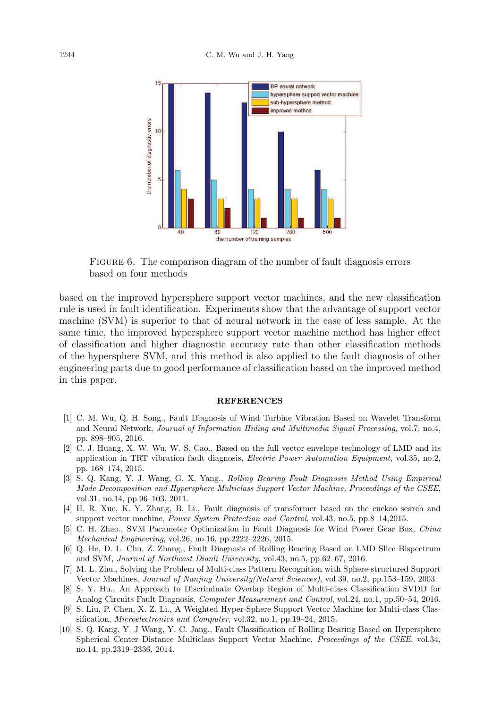

FIGURE 6. The comparison diagram of the number of fault diagnosis errors based on four methods

based on the improved hypersphere support vector machines, and the new classification rule is used in fault identification. Experiments show that the advantage of support vector machine (SVM) is superior to that of neural network in the case of less sample. At the same time, the improved hypersphere support vector machine method has higher effect of classification and higher diagnostic accuracy rate than other classification methods of the hypersphere SVM, and this method is also applied to the fault diagnosis of other engineering parts due to good performance of classification based on the improved method in this paper.

## **REFERENCES**

- [1] C. M. Wu, Q. H. Song., Fault Diagnosis of Wind Turbine Vibration Based on Wavelet Transform and Neural Network, Journal of Information Hiding and Multimedia Signal Processing, vol.7, no.4, pp. 898–905, 2016.
- [2] C. J. Huang, X. W. Wu, W. S. Cao., Based on the full vector envelope technology of LMD and its application in TRT vibration fault diagnosis, Electric Power Automation Equipment, vol.35, no.2, pp. 168–174, 2015.
- [3] S. Q. Kang, Y. J. Wang, G. X. Yang., Rolling Bearing Fault Diagnosis Method Using Empirical Mode Decomposition and Hypersphere Multiclass Support Vector Machine, Proceedings of the CSEE, vol.31, no.14, pp.96–103, 2011.
- [4] H. R. Xue, K. Y. Zhang, B. Li., Fault diagnosis of transformer based on the cuckoo search and support vector machine, Power System Protection and Control, vol.43, no.5, pp.8–14,2015.
- [5] C. H. Zhao., SVM Parameter Optimization in Fault Diagnosis for Wind Power Gear Box, China Mechanical Engineering, vol.26, no.16, pp.2222–2226, 2015.
- [6] Q. He, D. L. Chu, Z. Zhang., Fault Diagnosis of Rolling Bearing Based on LMD Slice Bispectrum and SVM, Journal of Northeast Dianli University, vol.43, no.5, pp.62–67, 2016.
- [7] M. L. Zhu., Solving the Problem of Multi-class Pattern Recognition with Sphere-structured Support Vector Machines, Journal of Nanjing University(Natural Sciences), vol.39, no.2, pp.153–159, 2003.
- [8] S. Y. Hu., An Approach to Discriminate Overlap Region of Multi-class Classification SVDD for Analog Circuits Fault Diagnosis, Computer Measurement and Control, vol.24, no.1, pp.50–54, 2016.
- [9] S. Liu, P. Chen, X. Z. Li., A Weighted Hyper-Sphere Support Vector Machine for Multi-class Classification, Microelectronics and Computer, vol.32, no.1, pp.19–24, 2015.
- [10] S. Q. Kang, Y. J Wang, Y. C. Jang., Fault Classification of Rolling Bearing Based on Hypersphere Spherical Center Distance Multiclass Support Vector Machine, Proceedings of the CSEE, vol.34, no.14, pp.2319–2336, 2014.